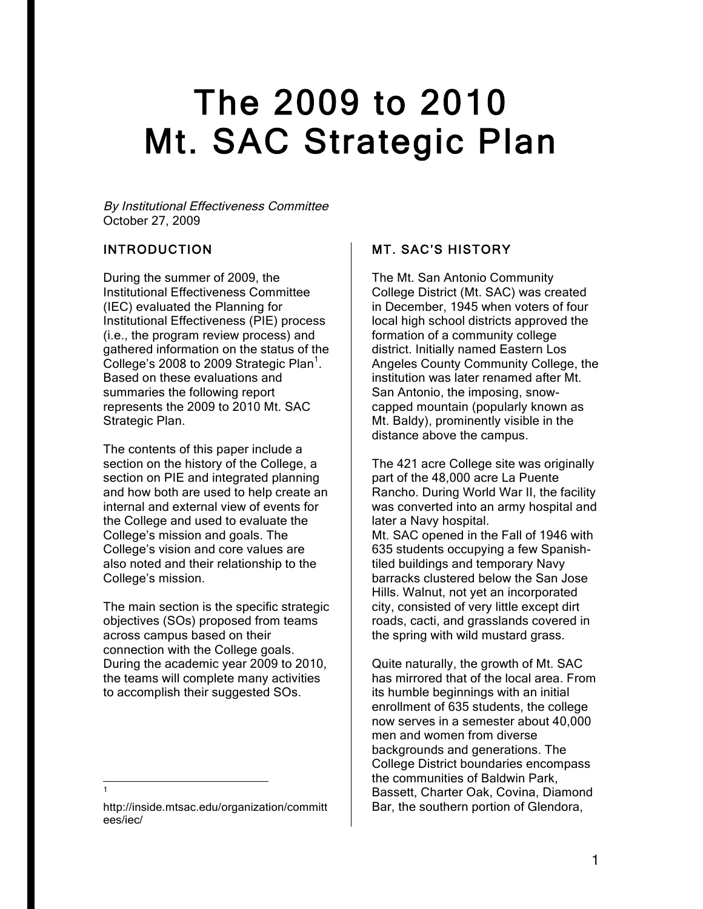# 2009 to 2010 The 2009 to 2010<br>Mt. SAC Strategic Plan

By Institutional Effectiveness Committee October 27, 2009

## INTRODUCTION

During the summer of 2009, the Institutional Effectiveness Committee (IEC) evaluated the Planning for Institutional Effectiveness (PIE) process (i.e., the program review process) and gathered information on the status of the College's 2008 to 2009 Strategic Plan<sup>1</sup>. Based on these evaluations and summaries the following report represents the 2009 to 2010 Mt. SAC Strategic Plan.

The contents of this paper include a section on the history of the College, a section on PIE and integrated planning and how both are used to help create an internal and external view of events for the College and used to evaluate the College's mission and goals. The College's vision and core values are also noted and their relationship to the College's mission.

The main section is the specific strategic objectives (SOs) proposed from teams across campus based on their connection with the College goals. During the academic year 2009 to 2010, the teams will complete many activities to accomplish their suggested SOs.

#### $\overline{a}$ 1

## MT. SAC'S HISTORY

The Mt. San Antonio Community College District (Mt. SAC) was created in December, 1945 when voters of four local high school districts approved the formation of a community college district. Initially named Eastern Los Angeles County Community College, the institution was later renamed after Mt. San Antonio, the imposing, snowcapped mountain (popularly known as Mt. Baldy), prominently visible in the distance above the campus.

later a Navy hospital. The 421 acre College site was originally part of the 48,000 acre La Puente Rancho. During World War II, the facility was converted into an army hospital and

Mt. SAC opened in the Fall of 1946 with 635 students occupying a few Spanishtiled buildings and temporary Navy barracks clustered below the San Jose Hills. Walnut, not yet an incorporated city, consisted of very little except dirt roads, cacti, and grasslands covered in the spring with wild mustard grass.

Quite naturally, the growth of Mt. SAC has mirrored that of the local area. From its humble beginnings with an initial enrollment of 635 students, the college now serves in a semester about 40,000 men and women from diverse backgrounds and generations. The College District boundaries encompass the communities of Baldwin Park, Bassett, Charter Oak, Covina, Diamond Bar, the southern portion of Glendora,

http://inside.mtsac.edu/organization/committ ees/iec/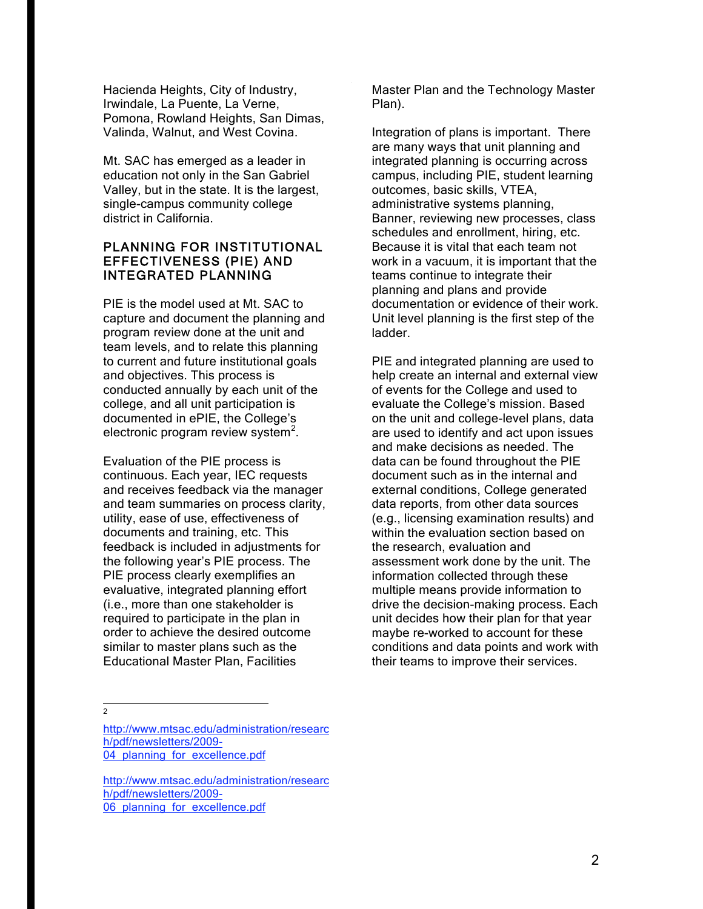Hacienda Heights, City of Industry, Irwindale, La Puente, La Verne, Pomona, Rowland Heights, San Dimas, Valinda, Walnut, and West Covina.

Mt. SAC has emerged as a leader in education not only in the San Gabriel Valley, but in the state. It is the largest, single-campus community college district in California.

### PLANNING FOR INSTITUTIONAL EFFECTIVENESS (PIE) AND INTEGRATED PLANNING

PIE is the model used at Mt. SAC to capture and document the planning and program review done at the unit and team levels, and to relate this planning to current and future institutional goals and objectives. This process is conducted annually by each unit of the college, and all unit participation is documented in ePIE, the College's electronic program review system<sup>2</sup>.

Evaluation of the PIE process is continuous. Each year, IEC requests and receives feedback via the manager and team summaries on process clarity, utility, ease of use, effectiveness of documents and training, etc. This feedback is included in adjustments for the following year's PIE process. The PIE process clearly exemplifies an evaluative, integrated planning effort (i.e., more than one stakeholder is required to participate in the plan in order to achieve the desired outcome similar to master plans such as the Educational Master Plan, Facilities

Master Plan and the Technology Master Plan).

Integration of plans is important. There are many ways that unit planning and integrated planning is occurring across campus, including PIE, student learning outcomes, basic skills, VTEA, administrative systems planning, Banner, reviewing new processes, class schedules and enrollment, hiring, etc. Because it is vital that each team not work in a vacuum, it is important that the teams continue to integrate their planning and plans and provide documentation or evidence of their work. Unit level planning is the first step of the ladder.

PIE and integrated planning are used to help create an internal and external view of events for the College and used to evaluate the College's mission. Based on the unit and college-level plans, data are used to identify and act upon issues and make decisions as needed. The data can be found throughout the PIE document such as in the internal and external conditions, College generated data reports, from other data sources (e.g., licensing examination results) and within the evaluation section based on the research, evaluation and assessment work done by the unit. The information collected through these multiple means provide information to drive the decision-making process. Each unit decides how their plan for that year maybe re-worked to account for these conditions and data points and work with their teams to improve their services.

 $\frac{1}{2}$ 

http://www.mtsac.edu/administration/researc h/pdf/newsletters/2009- 04 planning for excellence.pdf

http://www.mtsac.edu/administration/researc h/pdf/newsletters/2009- 06 planning for excellence.pdf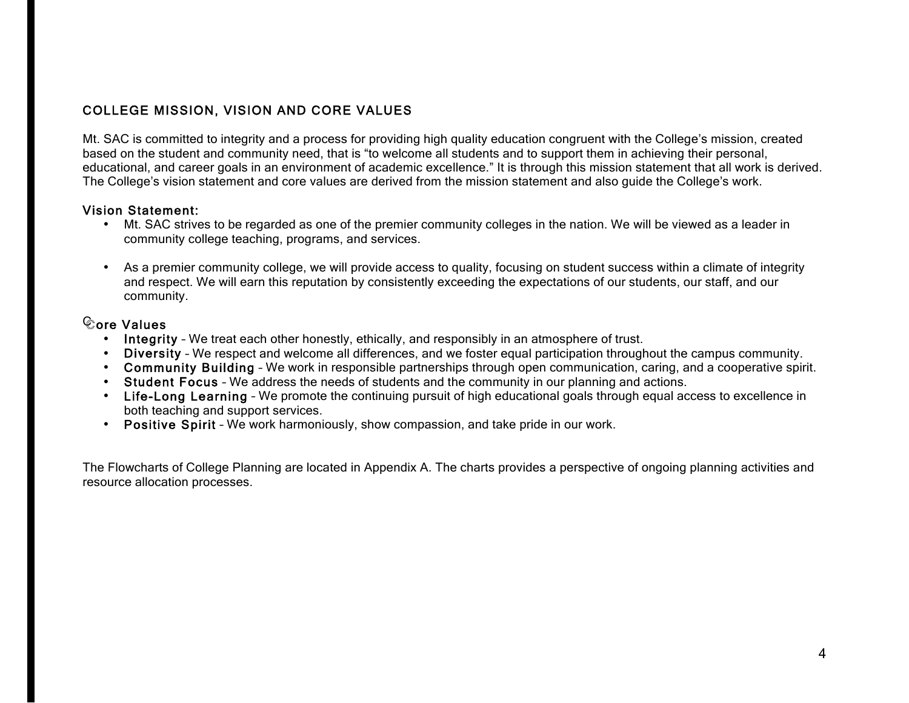## COLLEGE MISSION, VISION AND CORE VALUES

Mt. SAC is committed to integrity and a process for providing high quality education congruent with the College's mission, created based on the student and community need, that is "to welcome all students and to support them in achieving their personal, educational, and career goals in an environment of academic excellence." It is through this mission statement that all work is derived. The College's vision statement and core values are derived from the mission statement and also guide the College's work.

## Vision Statement:

- Mt. SAC strives to be regarded as one of the premier community colleges in the nation. We will be viewed as a leader in community college teaching, programs, and services.
- As a premier community college, we will provide access to quality, focusing on student success within a climate of integrity and respect. We will earn this reputation by consistently exceeding the expectations of our students, our staff, and our community.

## Core Values

- Integrity We treat each other honestly, ethically, and responsibly in an atmosphere of trust.
- Diversity We respect and welcome all differences, and we foster equal participation throughout the campus community.
- Community Building We work in responsible partnerships through open communication, caring, and a cooperative spirit.
- •Student Focus – We address the needs of students and the community in our planning and actions.
- Life-Long Learning We promote the continuing pursuit of high educational goals through equal access to excellence in both teaching and support services.
- Positive Spirit We work harmoniously, show compassion, and take pride in our work.

The Flowcharts of College Planning are located in Appendix A. The charts provides a perspective of ongoing planning activities and resource allocation processes.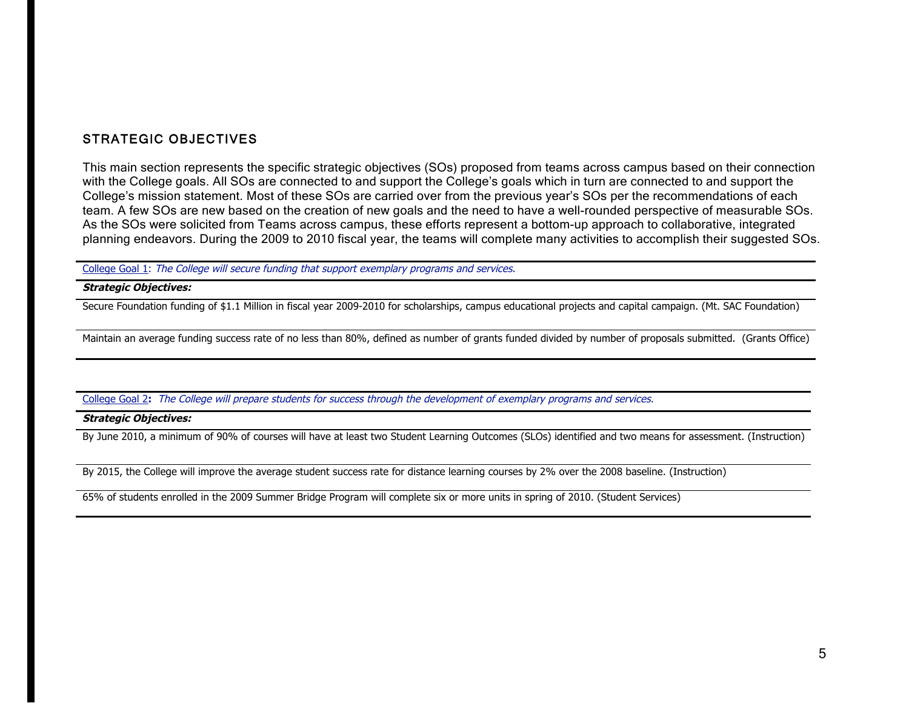## STRATEGIC OBJECTIVES

This main section represents the specific strategic objectives (SOs) proposed from teams across campus based on their connection with the College goals. All SOs are connected to and support the College's goals which in turn are connected to and support the College's mission statement. Most of these SOs are carried over from the previous year's SOs per the recommendations of each team. A few SOs are new based on the creation of new goals and the need to have a well-rounded perspective of measurable SOs. As the SOs were solicited from Teams across campus, these efforts represent a bottom-up approach to collaborative, integrated planning endeavors. During the 2009 to 2010 fiscal year, the teams will complete many activities to accomplish their suggested SOs.

College Goal 1: The College will secure funding that support exemplary programs and services.

#### **Strategic Objectives:**

Secure Foundation funding of \$1.1 Million in fiscal year 2009-2010 for scholarships, campus educational projects and capital campaign. (Mt. SAC Foundation)

Maintain an average funding success rate of no less than 80%, defined as number of grants funded divided by number of proposals submitted. (Grants Office)

College Goal 2**:** The College will prepare students for success through the development of exemplary programs and services.

#### **Strategic Objectives:**

By June 2010, a minimum of 90% of courses will have at least two Student Learning Outcomes (SLOs) identified and two means for assessment. (Instruction)

By 2015, the College will improve the average student success rate for distance learning courses by 2% over the 2008 baseline. (Instruction)

65% of students enrolled in the 2009 Summer Bridge Program will complete six or more units in spring of 2010. (Student Services)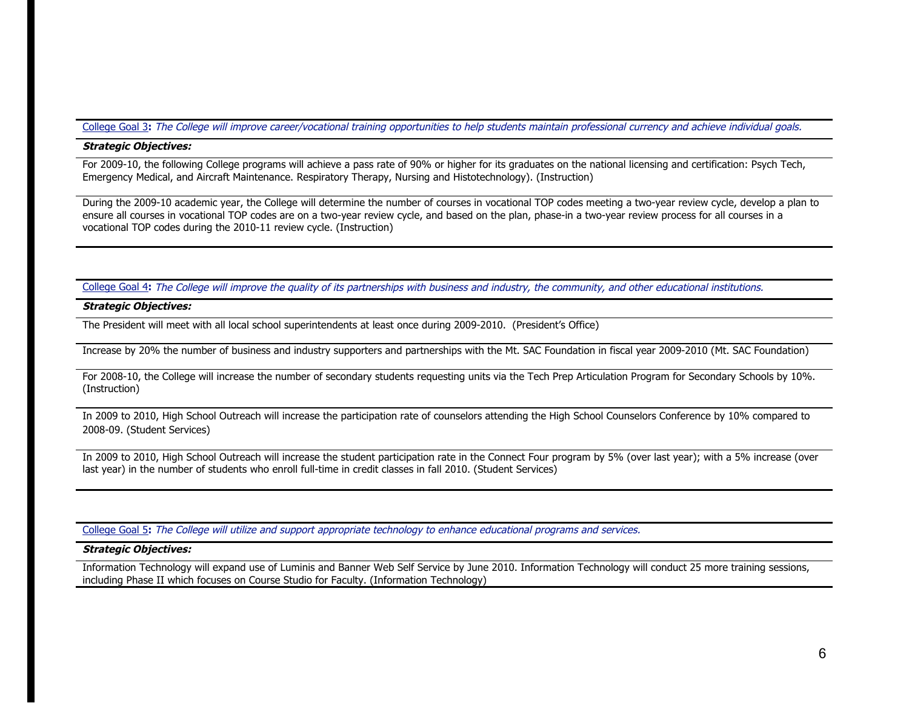#### College Goal 3**:** The College will improve career/vocational training opportunities to help students maintain professional currency and achieve individual goals.

#### **Strategic Objectives:**

For 2009-10, the following College programs will achieve a pass rate of 90% or higher for its graduates on the national licensing and certification: Psych Tech, Emergency Medical, and Aircraft Maintenance. Respiratory Therapy, Nursing and Histotechnology). (Instruction)

During the 2009-10 academic year, the College will determine the number of courses in vocational TOP codes meeting a two-year review cycle, develop a plan to ensure all courses in vocational TOP codes are on a two-year review cycle, and based on the plan, phase-in a two-year review process for all courses in a vocational TOP codes during the 2010-11 review cycle. (Instruction)

College Goal 4**:** The College will improve the quality of its partnerships with business and industry, the community, and other educational institutions.

#### **Strategic Objectives:**

The President will meet with all local school superintendents at least once during 2009-2010. (President's Office)

Increase by 20% the number of business and industry supporters and partnerships with the Mt. SAC Foundation in fiscal year 2009-2010 (Mt. SAC Foundation)

For 2008-10, the College will increase the number of secondary students requesting units via the Tech Prep Articulation Program for Secondary Schools by 10%. (Instruction)

In 2009 to 2010, High School Outreach will increase the participation rate of counselors attending the High School Counselors Conference by 10% compared to 2008-09. (Student Services)

In 2009 to 2010, High School Outreach will increase the student participation rate in the Connect Four program by 5% (over last year); with a 5% increase (over last year) in the number of students who enroll full-time in credit classes in fall 2010. (Student Services)

College Goal 5**:** The College will utilize and support appropriate technology to enhance educational programs and services.

#### **Strategic Objectives:**

Information Technology will expand use of Luminis and Banner Web Self Service by June 2010. Information Technology will conduct 25 more training sessions, including Phase II which focuses on Course Studio for Faculty. (Information Technology)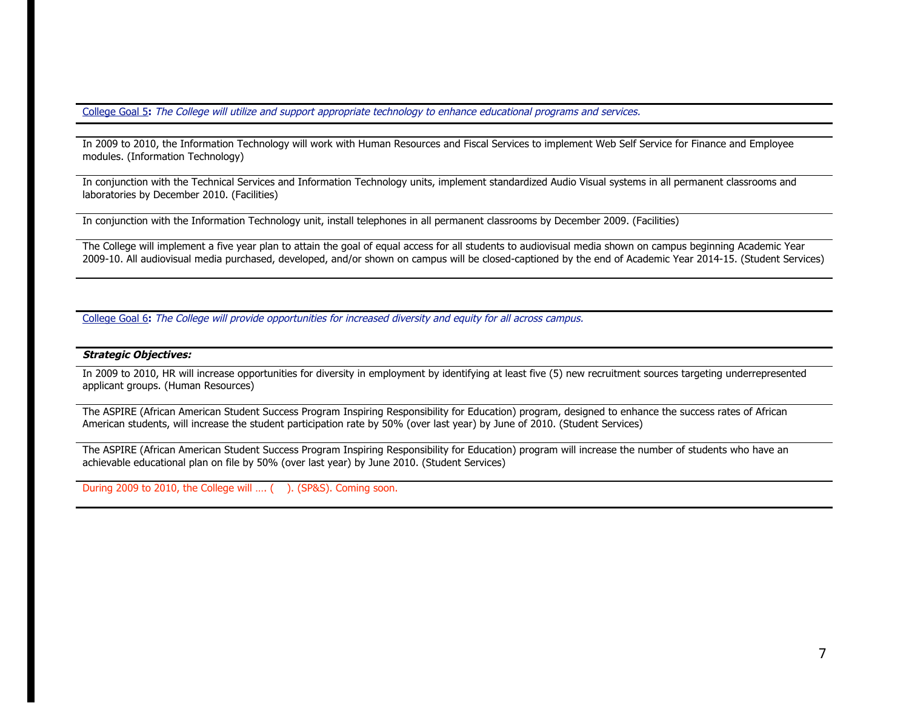College Goal 5**:** The College will utilize and support appropriate technology to enhance educational programs and services.

In 2009 to 2010, the Information Technology will work with Human Resources and Fiscal Services to implement Web Self Service for Finance and Employee modules. (Information Technology)

In conjunction with the Technical Services and Information Technology units, implement standardized Audio Visual systems in all permanent classrooms and laboratories by December 2010. (Facilities)

In conjunction with the Information Technology unit, install telephones in all permanent classrooms by December 2009. (Facilities)

The College will implement a five year plan to attain the goal of equal access for all students to audiovisual media shown on campus beginning Academic Year 2009-10. All audiovisual media purchased, developed, and/or shown on campus will be closed-captioned by the end of Academic Year 2014-15. (Student Services)

College Goal 6**:** The College will provide opportunities for increased diversity and equity for all across campus.

#### **Strategic Objectives:**

In 2009 to 2010, HR will increase opportunities for diversity in employment by identifying at least five (5) new recruitment sources targeting underrepresented applicant groups. (Human Resources)

The ASPIRE (African American Student Success Program Inspiring Responsibility for Education) program, designed to enhance the success rates of African American students, will increase the student participation rate by 50% (over last year) by June of 2010. (Student Services)

The ASPIRE (African American Student Success Program Inspiring Responsibility for Education) program will increase the number of students who have an achievable educational plan on file by 50% (over last year) by June 2010. (Student Services)

During 2009 to 2010, the College will .... ( ). (SP&S). Coming soon.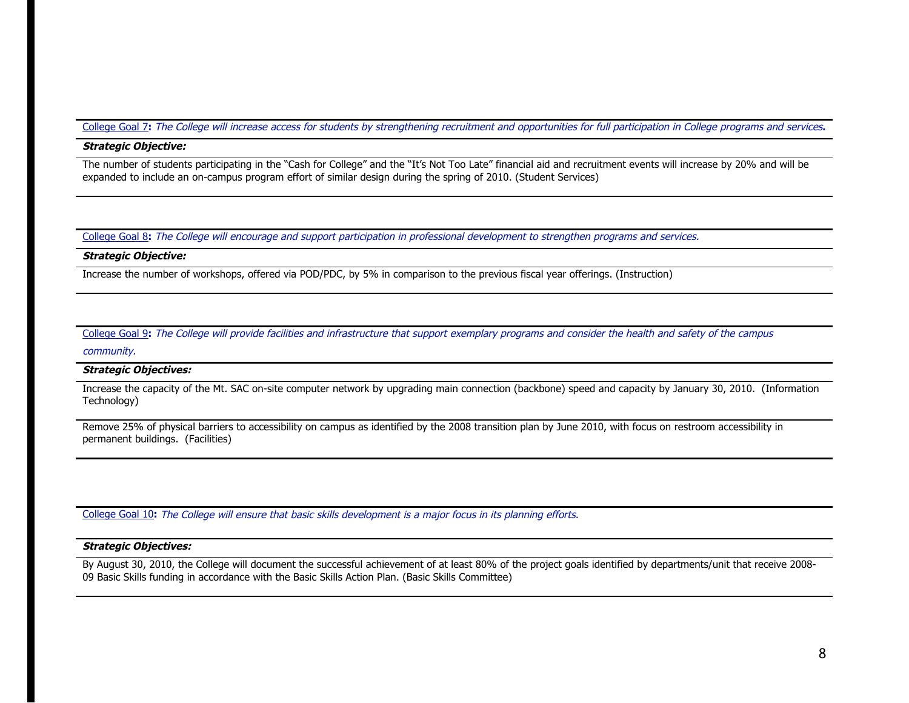#### College Goal 7**:** The College will increase access for students by strengthening recruitment and opportunities for full participation in College programs and services**.**

#### **Strategic Objective:**

The number of students participating in the "Cash for College" and the "It's Not Too Late" financial aid and recruitment events will increase by 20% and will be expanded to include an on-campus program effort of similar design during the spring of 2010. (Student Services)

College Goal 8**:** The College will encourage and support participation in professional development to strengthen programs and services.

#### **Strategic Objective:**

Increase the number of workshops, offered via POD/PDC, by 5% in comparison to the previous fiscal year offerings. (Instruction)

College Goal 9**:** The College will provide facilities and infrastructure that support exemplary programs and consider the health and safety of the campus

#### community.

#### **Strategic Objectives:**

Increase the capacity of the Mt. SAC on-site computer network by upgrading main connection (backbone) speed and capacity by January 30, 2010. (Information Technology)

Remove 25% of physical barriers to accessibility on campus as identified by the 2008 transition plan by June 2010, with focus on restroom accessibility in permanent buildings. (Facilities)

College Goal 10**:** The College will ensure that basic skills development is a major focus in its planning efforts.

#### **Strategic Objectives:**

By August 30, 2010, the College will document the successful achievement of at least 80% of the project goals identified by departments/unit that receive 2008- 09 Basic Skills funding in accordance with the Basic Skills Action Plan. (Basic Skills Committee)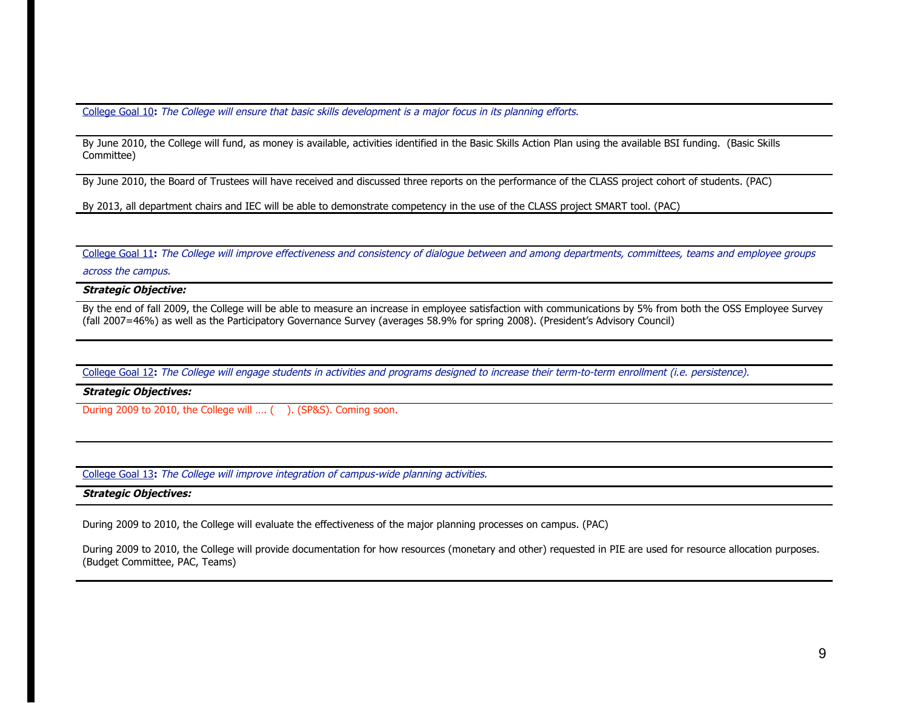College Goal 10**:** The College will ensure that basic skills development is a major focus in its planning efforts.

By June 2010, the College will fund, as money is available, activities identified in the Basic Skills Action Plan using the available BSI funding. (Basic Skills Committee)

By June 2010, the Board of Trustees will have received and discussed three reports on the performance of the CLASS project cohort of students. (PAC)

By 2013, all department chairs and IEC will be able to demonstrate competency in the use of the CLASS project SMART tool. (PAC)

College Goal 11**:** The College will improve effectiveness and consistency of dialogue between and among departments, committees, teams and employee groups

across the campus.

**Strategic Objective:** 

By the end of fall 2009, the College will be able to measure an increase in employee satisfaction with communications by 5% from both the OSS Employee Survey (fall 2007=46%) as well as the Participatory Governance Survey (averages 58.9% for spring 2008). (President's Advisory Council)

College Goal 12**:** The College will engage students in activities and programs designed to increase their term-to-term enrollment (i.e. persistence).

**Strategic Objectives:** 

During 2009 to 2010, the College will .... ( ). (SP&S). Coming soon.

College Goal 13**:** The College will improve integration of campus-wide planning activities.

**Strategic Objectives:** 

During 2009 to 2010, the College will evaluate the effectiveness of the major planning processes on campus. (PAC)

During 2009 to 2010, the College will provide documentation for how resources (monetary and other) requested in PIE are used for resource allocation purposes. (Budget Committee, PAC, Teams)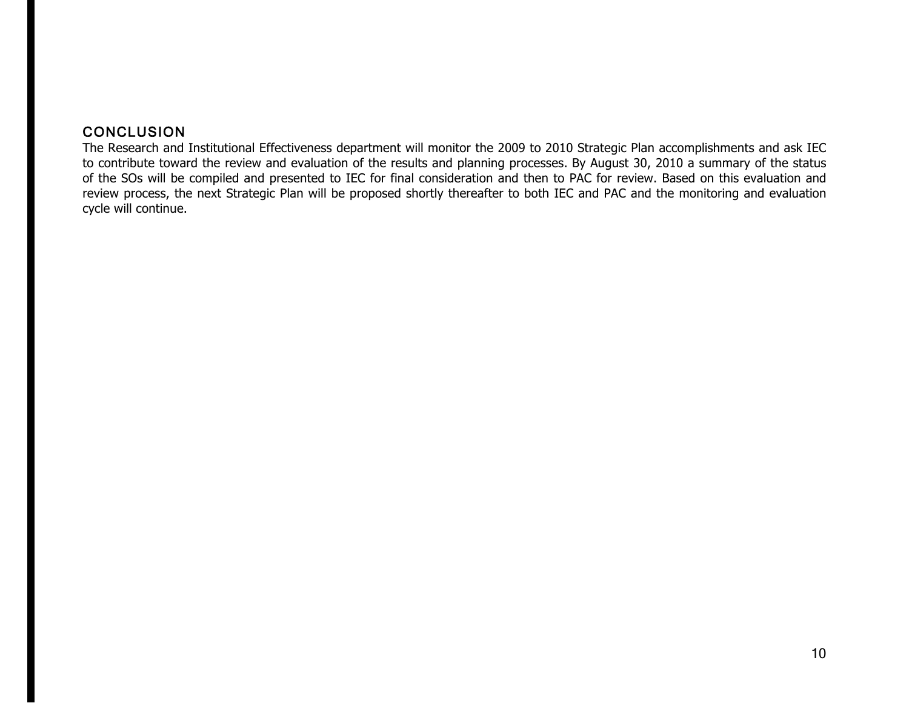## **CONCLUSION**

The Research and Institutional Effectiveness department will monitor the 2009 to 2010 Strategic Plan accomplishments and ask IEC to contribute toward the review and evaluation of the results and planning processes. By August 30, 2010 a summary of the status of the SOs will be compiled and presented to IEC for final consideration and then to PAC for review. Based on this evaluation and review process, the next Strategic Plan will be proposed shortly thereafter to both IEC and PAC and the monitoring and evaluation cycle will continue.